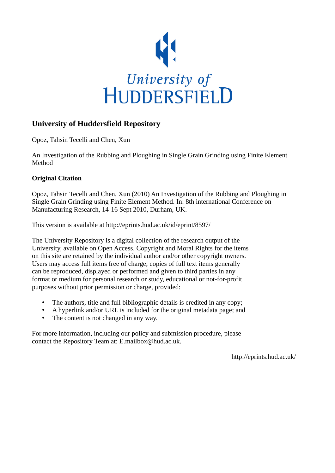

# **University of Huddersfield Repository**

Opoz, Tahsin Tecelli and Chen, Xun

An Investigation of the Rubbing and Ploughing in Single Grain Grinding using Finite Element Method

# **Original Citation**

Opoz, Tahsin Tecelli and Chen, Xun (2010) An Investigation of the Rubbing and Ploughing in Single Grain Grinding using Finite Element Method. In: 8th international Conference on Manufacturing Research, 14-16 Sept 2010, Durham, UK.

This version is available at http://eprints.hud.ac.uk/id/eprint/8597/

The University Repository is a digital collection of the research output of the University, available on Open Access. Copyright and Moral Rights for the items on this site are retained by the individual author and/or other copyright owners. Users may access full items free of charge; copies of full text items generally can be reproduced, displayed or performed and given to third parties in any format or medium for personal research or study, educational or not-for-profit purposes without prior permission or charge, provided:

- The authors, title and full bibliographic details is credited in any copy;
- A hyperlink and/or URL is included for the original metadata page; and
- The content is not changed in any way.

For more information, including our policy and submission procedure, please contact the Repository Team at: E.mailbox@hud.ac.uk.

http://eprints.hud.ac.uk/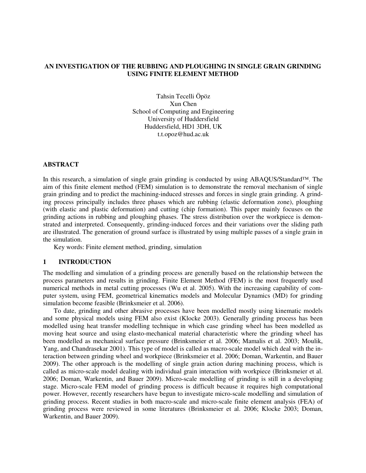# **AN INVESTIGATION OF THE RUBBING AND PLOUGHING IN SINGLE GRAIN GRINDING USING FINITE ELEMENT METHOD**

Tahsin Tecelli Öpöz Xun Chen School of Computing and Engineering University of Huddersfield Huddersfield, HD1 3DH, UK t.t.opoz@hud.ac.uk

# **ABSTRACT**

In this research, a simulation of single grain grinding is conducted by using ABAQUS/Standard™. The aim of this finite element method (FEM) simulation is to demonstrate the removal mechanism of single grain grinding and to predict the machining-induced stresses and forces in single grain grinding. A grinding process principally includes three phases which are rubbing (elastic deformation zone), ploughing (with elastic and plastic deformation) and cutting (chip formation). This paper mainly focuses on the grinding actions in rubbing and ploughing phases. The stress distribution over the workpiece is demonstrated and interpreted. Consequently, grinding-induced forces and their variations over the sliding path are illustrated. The generation of ground surface is illustrated by using multiple passes of a single grain in the simulation.

Key words: Finite element method, grinding, simulation

#### **1 INTRODUCTION**

The modelling and simulation of a grinding process are generally based on the relationship between the process parameters and results in grinding. Finite Element Method (FEM) is the most frequently used numerical methods in metal cutting processes (Wu et al. 2005). With the increasing capability of computer system, using FEM, geometrical kinematics models and Molecular Dynamics (MD) for grinding simulation become feasible (Brinksmeier et al. 2006).

To date, grinding and other abrasive processes have been modelled mostly using kinematic models and some physical models using FEM also exist (Klocke 2003). Generally grinding process has been modelled using heat transfer modelling technique in which case grinding wheel has been modelled as moving heat source and using elasto-mechanical material characteristic where the grinding wheel has been modelled as mechanical surface pressure (Brinksmeier et al. 2006; Mamalis et al. 2003; Moulik, Yang, and Chandrasekar 2001). This type of model is called as macro-scale model which deal with the interaction between grinding wheel and workpiece (Brinksmeier et al. 2006; Doman, Warkentin, and Bauer 2009). The other approach is the modelling of single grain action during machining process, which is called as micro-scale model dealing with individual grain interaction with workpiece (Brinksmeier et al. 2006; Doman, Warkentin, and Bauer 2009). Micro-scale modelling of grinding is still in a developing stage. Micro-scale FEM model of grinding process is difficult because it requires high computational power. However, recently researchers have begun to investigate micro-scale modelling and simulation of grinding process. Recent studies in both macro-scale and micro-scale finite element analysis (FEA) of grinding process were reviewed in some literatures (Brinksmeier et al. 2006; Klocke 2003; Doman, Warkentin, and Bauer 2009).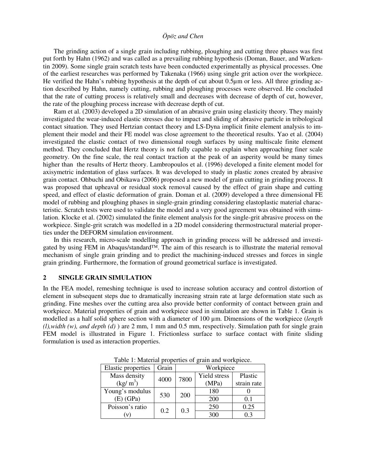The grinding action of a single grain including rubbing, ploughing and cutting three phases was first put forth by Hahn (1962) and was called as a prevailing rubbing hypothesis (Doman, Bauer, and Warkentin 2009). Some single grain scratch tests have been conducted experimentally as physical processes. One of the earliest researches was performed by Takenaka (1966) using single grit action over the workpiece. He verified the Hahn's rubbing hypothesis at the depth of cut about 0.5µm or less. All three grinding action described by Hahn, namely cutting, rubbing and ploughing processes were observed. He concluded that the rate of cutting process is relatively small and decreases with decrease of depth of cut, however, the rate of the ploughing process increase with decrease depth of cut.

Ram et al. (2003) developed a 2D simulation of an abrasive grain using elasticity theory. They mainly investigated the wear-induced elastic stresses due to impact and sliding of abrasive particle in tribological contact situation. They used Hertzian contact theory and LS-Dyna implicit finite element analysis to implement their model and their FE model was close agreement to the theoretical results. Yao et al. (2004) investigated the elastic contact of two dimensional rough surfaces by using multiscale finite element method. They concluded that Hertz theory is not fully capable to explain when approaching finer scale geometry. On the fine scale, the real contact traction at the peak of an asperity would be many times higher than the results of Hertz theory. Lambropoulos et al. (1996) developed a finite element model for axisymetric indentation of glass surfaces. It was developed to study in plastic zones created by abrasive grain contact. Ohbuchi and Obikawa (2006) proposed a new model of grain cutting in grinding process. It was proposed that upheaval or residual stock removal caused by the effect of grain shape and cutting speed, and effect of elastic deformation of grain. Doman et al. (2009) developed a three dimensional FE model of rubbing and ploughing phases in single-grain grinding considering elastoplastic material characteristic. Scratch tests were used to validate the model and a very good agreement was obtained with simulation. Klocke et al. (2002) simulated the finite element analysis for the single-grit abrasive process on the workpiece. Single-grit scratch was modelled in a 2D model considering thermostructural material properties under the DEFORM simulation environment.

In this research, micro-scale modelling approach in grinding process will be addressed and investigated by using FEM in Abaqus/standard™. The aim of this research is to illustrate the material removal mechanism of single grain grinding and to predict the machining-induced stresses and forces in single grain grinding. Furthermore, the formation of ground geometrical surface is investigated.

#### **2 SINGLE GRAIN SIMULATION**

In the FEA model, remeshing technique is used to increase solution accuracy and control distortion of element in subsequent steps due to dramatically increasing strain rate at large deformation state such as grinding. Fine meshes over the cutting area also provide better conformity of contact between grain and workpiece. Material properties of grain and workpiece used in simulation are shown in Table 1. Grain is modelled as a half solid sphere section with a diameter of 100 µm. Dimensions of the workpiece (*length (l),width (w), and depth (d)* ) are 2 mm, 1 mm and 0.5 mm, respectively. Simulation path for single grain FEM model is illustrated in Figure 1. Frictionless surface to surface contact with finite sliding formulation is used as interaction properties.

| radio 1. material properties of grain and workpreed. |       |           |              |             |
|------------------------------------------------------|-------|-----------|--------------|-------------|
| <b>Elastic properties</b>                            | Grain | Workpiece |              |             |
| Mass density                                         | 4000  | 7800      | Yield stress | Plastic     |
| (kg/m <sup>3</sup> )                                 |       |           | (MPa)        | strain rate |
| Young's modulus                                      | 530   | 200       | 180          |             |
| $(E)$ (GPa)                                          |       |           | 200          | 0.1         |
| Poisson's ratio                                      | 0.2   | 0.3       | 250          | 0.25        |
|                                                      |       |           | 300          | 0.3         |

Table 1: Material properties of grain and workpiece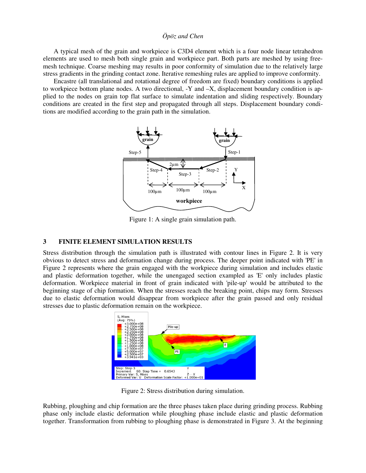A typical mesh of the grain and workpiece is C3D4 element which is a four node linear tetrahedron elements are used to mesh both single grain and workpiece part. Both parts are meshed by using freemesh technique. Coarse meshing may results in poor conformity of simulation due to the relatively large stress gradients in the grinding contact zone. Iterative remeshing rules are applied to improve conformity.

Encastre (all translational and rotational degree of freedom are fixed) boundary conditions is applied to workpiece bottom plane nodes. A two directional, -Y and –X, displacement boundary condition is applied to the nodes on grain top flat surface to simulate indentation and sliding respectively. Boundary conditions are created in the first step and propagated through all steps. Displacement boundary conditions are modified according to the grain path in the simulation.



Figure 1: A single grain simulation path.

#### **3 FINITE ELEMENT SIMULATION RESULTS**

Stress distribution through the simulation path is illustrated with contour lines in Figure 2. It is very obvious to detect stress and deformation change during process. The deeper point indicated with 'PE' in Figure 2 represents where the grain engaged with the workpiece during simulation and includes elastic and plastic deformation together, while the unengaged section exampled as 'E' only includes plastic deformation. Workpiece material in front of grain indicated with 'pile-up' would be attributed to the beginning stage of chip formation. When the stresses reach the breaking point, chips may form. Stresses due to elastic deformation would disappear from workpiece after the grain passed and only residual stresses due to plastic deformation remain on the workpiece.



Figure 2: Stress distribution during simulation.

Rubbing, ploughing and chip formation are the three phases taken place during grinding process. Rubbing phase only include elastic deformation while ploughing phase include elastic and plastic deformation together. Transformation from rubbing to ploughing phase is demonstrated in Figure 3. At the beginning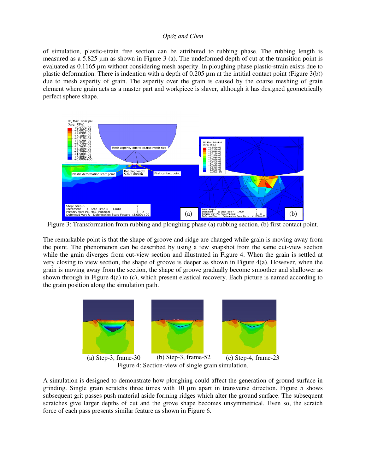of simulation, plastic-strain free section can be attributed to rubbing phase. The rubbing length is measured as a 5.825 µm as shown in Figure 3 (a). The undeformed depth of cut at the transition point is evaluated as 0.1165 µm without considering mesh asperity. In ploughing phase plastic-strain exists due to plastic deformation. There is indention with a depth of  $0.205 \mu m$  at the intitial contact point (Figure 3(b)) due to mesh asperity of grain. The asperity over the grain is caused by the coarse meshing of grain element where grain acts as a master part and workpiece is slaver, although it has designed geometrically perfect sphere shape.



Figure 3: Transformation from rubbing and ploughing phase (a) rubbing section, (b) first contact point.

The remarkable point is that the shape of groove and ridge are changed while grain is moving away from the point. The phenomenon can be described by using a few snapshot from the same cut-view section while the grain diverges from cut-view section and illustrated in Figure 4. When the grain is settled at very closing to view section, the shape of groove is deeper as shown in Figure 4(a). However, when the grain is moving away from the section, the shape of groove gradually become smoother and shallower as shown through in Figure 4(a) to (c), which present elastical recovery. Each picture is named according to the grain position along the simulation path.



Figure 4: Section-view of single grain simulation.

A simulation is designed to demonstrate how ploughing could affect the generation of ground surface in grinding. Single grain scratchs three times with 10 µm apart in transverse direction. Figure 5 shows subsequent grit passes push material aside forming ridges which alter the ground surface. The subsequent scratches give larger depths of cut and the grove shape becomes unsymmetrical. Even so, the scratch force of each pass presents similar feature as shown in Figure 6.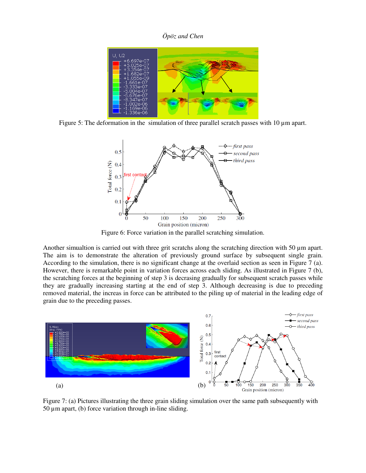

Figure 5: The deformation in the simulation of three parallel scratch passes with 10 µm apart.



Figure 6: Force variation in the parallel scratching simulation.

Another simualtion is carried out with three grit scratchs along the scratching direction with 50  $\mu$ m apart. The aim is to demonstrate the alteration of previously ground surface by subsequent single grain. According to the simulation, there is no significant change at the overlaid section as seen in Figure 7 (a). However, there is remarkable point in variation forces across each sliding. As illustrated in Figure 7 (b), the scratching forces at the beginning of step 3 is decrasing gradually for subsequent scratch passes while they are gradually increasing starting at the end of step 3. Although decreasing is due to preceding removed material, the increas in force can be attributed to the piling up of material in the leading edge of grain due to the preceding passes.



Figure 7: (a) Pictures illustrating the three grain sliding simulation over the same path subsequently with  $50 \mu m$  apart, (b) force variation through in-line sliding.